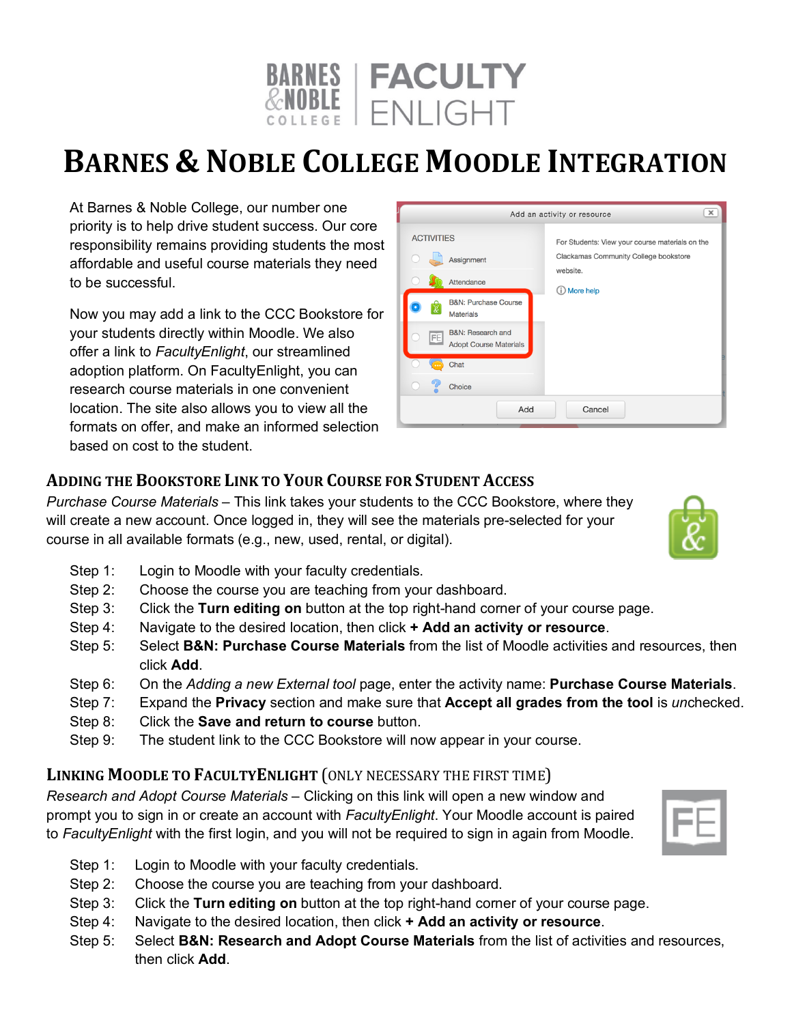

## **BARNES & NOBLE COLLEGE MOODLE INTEGRATION**

At Barnes & Noble College, our number one priority is to help drive student success. Our core responsibility remains providing students the most affordable and useful course materials they need to be successful.

Now you may add a link to the CCC Bookstore for your students directly within Moodle. We also offer a link to *FacultyEnlight*, our streamlined adoption platform. On FacultyEnlight, you can research course materials in one convenient location. The site also allows you to view all the formats on offer, and make an informed selection based on cost to the student.

| $\times$<br>Add an activity or resource                  |                                                   |
|----------------------------------------------------------|---------------------------------------------------|
| <b>ACTIVITIES</b>                                        | For Students: View your course materials on the   |
| Assignment                                               | Clackamas Community College bookstore<br>website. |
| Attendance                                               | (i) More help                                     |
| <b>B&amp;N: Purchase Course</b><br>Ŀ<br><b>Materials</b> |                                                   |
| B&N: Research and<br>FE<br><b>Adopt Course Materials</b> |                                                   |
| Chat                                                     |                                                   |
| <b>Choice</b>                                            |                                                   |
| Add<br>Cancel                                            |                                                   |

## **ADDING THE BOOKSTORE LINK TO YOUR COURSE FOR STUDENT ACCESS**

*Purchase Course Materials* – This link takes your students to the CCC Bookstore, where they will create a new account. Once logged in, they will see the materials pre-selected for your course in all available formats (e.g., new, used, rental, or digital).

- Step 1: Login to Moodle with your faculty credentials.
- Step 2: Choose the course you are teaching from your dashboard.
- Step 3: Click the **Turn editing on** button at the top right-hand corner of your course page.
- Step 4: Navigate to the desired location, then click **+ Add an activity or resource**.
- Step 5: Select **B&N: Purchase Course Materials** from the list of Moodle activities and resources, then click **Add**.
- Step 6: On the *Adding a new External tool* page, enter the activity name: **Purchase Course Materials**.
- Step 7: Expand the **Privacy** section and make sure that **Accept all grades from the tool** is *un*checked.
- Step 8: Click the **Save and return to course** button.
- Step 9: The student link to the CCC Bookstore will now appear in your course.

## **LINKING MOODLE TO FACULTYENLIGHT** (ONLY NECESSARY THE FIRST TIME)

*Research and Adopt Course Materials* – Clicking on this link will open a new window and prompt you to sign in or create an account with *FacultyEnlight*. Your Moodle account is paired to *FacultyEnlight* with the first login, and you will not be required to sign in again from Moodle.

- Step 1: Login to Moodle with your faculty credentials.
- Step 2: Choose the course you are teaching from your dashboard.
- Step 3: Click the **Turn editing on** button at the top right-hand corner of your course page.
- Step 4: Navigate to the desired location, then click **+ Add an activity or resource**.
- Step 5: Select **B&N: Research and Adopt Course Materials** from the list of activities and resources, then click **Add**.